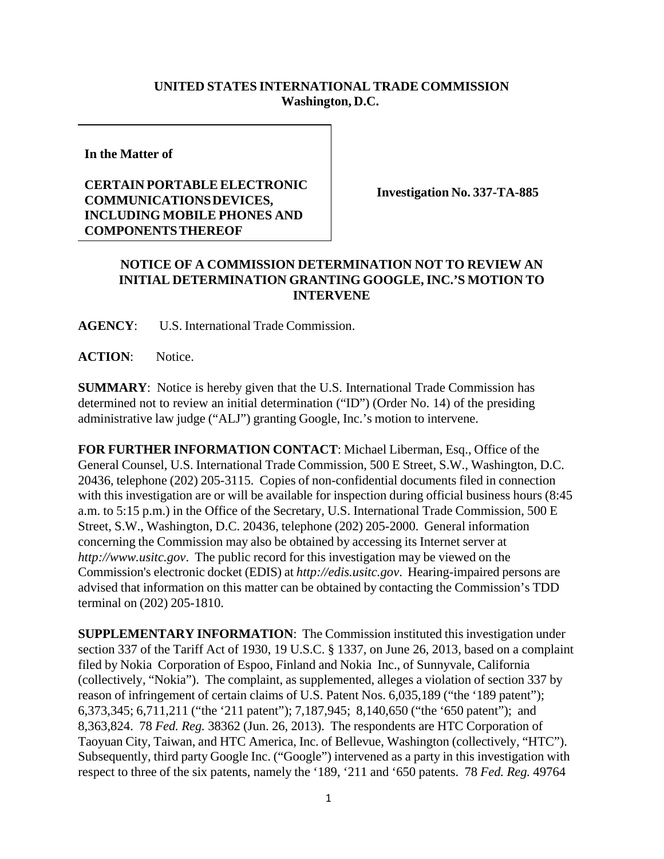## **UNITED STATES INTERNATIONAL TRADE COMMISSION Washington, D.C.**

**In the Matter of**

## **CERTAIN PORTABLE ELECTRONIC COMMUNICATIONS DEVICES, INCLUDING MOBILE PHONES AND COMPONENTS THEREOF**

**Investigation No. 337-TA-885**

## **NOTICE OF A COMMISSION DETERMINATION NOT TO REVIEW AN INITIAL DETERMINATION GRANTING GOOGLE, INC.'S MOTION TO INTERVENE**

**AGENCY**: U.S. International Trade Commission.

**ACTION**: Notice.

**SUMMARY**: Notice is hereby given that the U.S. International Trade Commission has determined not to review an initial determination ("ID") (Order No. 14) of the presiding administrative law judge ("ALJ") granting Google, Inc.'s motion to intervene.

**FOR FURTHER INFORMATION CONTACT**: Michael Liberman, Esq., Office of the General Counsel, U.S. International Trade Commission, 500 E Street, S.W., Washington, D.C. 20436, telephone (202) 205-3115. Copies of non-confidential documents filed in connection with this investigation are or will be available for inspection during official business hours (8:45) a.m. to 5:15 p.m.) in the Office of the Secretary, U.S. International Trade Commission, 500 E Street, S.W., Washington, D.C. 20436, telephone (202) 205-2000. General information concerning the Commission may also be obtained by accessing its Internet server at *http://www.usitc.gov*. The public record for this investigation may be viewed on the Commission's electronic docket (EDIS) at *http://edis.usitc.gov*. Hearing-impaired persons are advised that information on this matter can be obtained by contacting the Commission's TDD terminal on (202) 205-1810.

**SUPPLEMENTARY INFORMATION**: The Commission instituted this investigation under section 337 of the Tariff Act of 1930, 19 U.S.C. § 1337, on June 26, 2013, based on a complaint filed by Nokia Corporation of Espoo, Finland and Nokia Inc., of Sunnyvale, California (collectively, "Nokia"). The complaint, as supplemented, alleges a violation of section 337 by reason of infringement of certain claims of U.S. Patent Nos. 6,035,189 ("the '189 patent"); 6,373,345; 6,711,211 ("the '211 patent"); 7,187,945; 8,140,650 ("the '650 patent"); and 8,363,824. 78 *Fed. Reg.* 38362 (Jun. 26, 2013). The respondents are HTC Corporation of Taoyuan City, Taiwan, and HTC America, Inc. of Bellevue, Washington (collectively, "HTC"). Subsequently, third party Google Inc. ("Google") intervened as a party in this investigation with respect to three of the six patents, namely the '189, '211 and '650 patents. 78 *Fed. Reg.* 49764